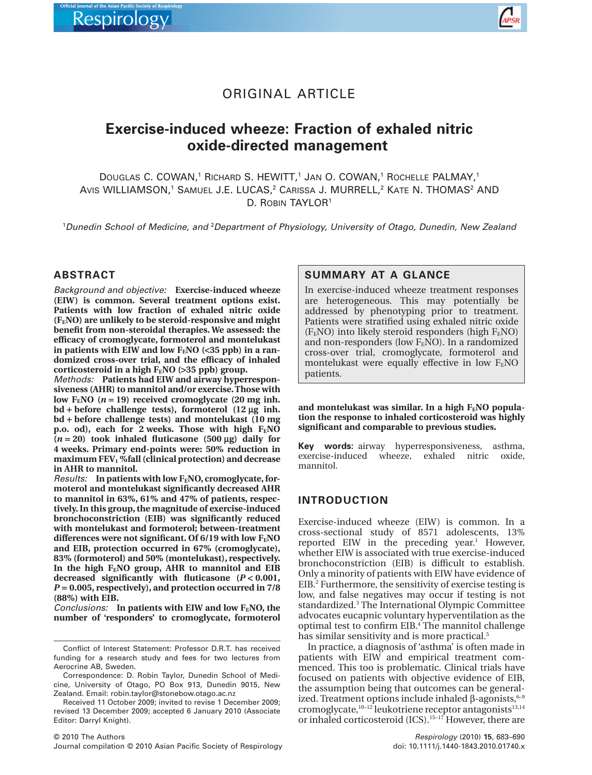

# ORIGINAL ARTICLE

# **Exercise-induced wheeze: Fraction of exhaled nitric oxide-directed management**

DOUGLAS C. COWAN,<sup>1</sup> RICHARD S. HEWITT,<sup>1</sup> JAN O. COWAN,<sup>1</sup> ROCHELLE PALMAY,<sup>1</sup> AVIS WILLIAMSON,<sup>1</sup> SAMUEL J.E. LUCAS,<sup>2</sup> CARISSA J. MURRELL,<sup>2</sup> KATE N. THOMAS<sup>2</sup> AND D. ROBIN TAYLOR<sup>1</sup>

1 *Dunedin School of Medicine, and* <sup>2</sup> *Department of Physiology, University of Otago, Dunedin, New Zealand*

## **ABSTRACT**

*Background and objective:* **Exercise-induced wheeze (EIW) is common. Several treatment options exist. Patients with low fraction of exhaled nitric oxide (FENO) are unlikely to be steroid-responsive and might benefit from non-steroidal therapies. We assessed: the efficacy of cromoglycate, formoterol and montelukast** in patients with EIW and low F<sub>E</sub>NO (<35 ppb) in a ran**domized cross-over trial, and the efficacy of inhaled** corticosteroid in a high  $F_FNO$  ( $>35$  ppb) group.

*Methods:* **Patients had EIW and airway hyperresponsiveness (AHR) to mannitol and/or exercise.Those with** low  $F<sub>E</sub>NO$  ( $n = 19$ ) received cromoglycate (20 mg inh.  $bd + before challenge tests)$ , formoterol  $(12 \mu g)$  inh. **bd** + **before challenge tests) and montelukast (10 mg** p.o. od), each for 2 weeks. Those with high F<sub>E</sub>NO  $(n = 20)$  took inhaled fluticasone (500 µg) daily for **4 weeks. Primary end-points were: 50% reduction in maximum FEV1 %fall (clinical protection) and decrease in AHR to mannitol.**

 $Results$ : In patients with low F<sub>E</sub>NO, cromoglycate, for**moterol and montelukast significantly decreased AHR to mannitol in 63%, 61% and 47% of patients, respectively. In this group, the magnitude of exercise-induced bronchoconstriction (EIB) was significantly reduced with montelukast and formoterol; between-treatment** differences were not significant. Of 6/19 with low F<sub>E</sub>NO **and EIB, protection occurred in 67% (cromoglycate), 83% (formoterol) and 50% (montelukast), respectively.** In the high  $F<sub>E</sub>NO$  group, AHR to mannitol and EIB **decreased significantly with fluticasone (***P* < **0.001,** *P* = **0.005, respectively), and protection occurred in 7/8 (88%) with EIB.**

*Conclusions:* **In patients with EIW and low FENO, the number of 'responders' to cromoglycate, formoterol**

Correspondence: D. Robin Taylor, Dunedin School of Medicine, University of Otago, PO Box 913, Dunedin 9015, New Zealand. Email: robin.taylor@stonebow.otago.ac.nz

Received 11 October 2009; invited to revise 1 December 2009; revised 13 December 2009; accepted 6 January 2010 (Associate Editor: Darryl Knight).

# **SUMMARY AT A GLANCE**

In exercise-induced wheeze treatment responses are heterogeneous. This may potentially be addressed by phenotyping prior to treatment. Patients were stratified using exhaled nitric oxide  $(F<sub>E</sub>NO)$  into likely steroid responders (high  $F<sub>E</sub>NO)$ ) and non-responders (low  $F<sub>E</sub>NO$ ). In a randomized cross-over trial, cromoglycate, formoterol and montelukast were equally effective in low  $F<sub>E</sub>NO$ patients.

and montelukast was similar. In a high F<sub>E</sub>NO popula**tion the response to inhaled corticosteroid was highly significant and comparable to previous studies.**

**Key words:** airway hyperresponsiveness, asthma, exercise-induced wheeze, exhaled nitric oxide, mannitol.

## **INTRODUCTION**

Exercise-induced wheeze (EIW) is common. In a cross-sectional study of 8571 adolescents, 13% reported EIW in the preceding year.<sup>1</sup> However, whether EIW is associated with true exercise-induced bronchoconstriction (EIB) is difficult to establish. Only a minority of patients with EIW have evidence of EIB.2 Furthermore, the sensitivity of exercise testing is low, and false negatives may occur if testing is not standardized.3 The International Olympic Committee advocates eucapnic voluntary hyperventilation as the optimal test to confirm EIB.4 The mannitol challenge has similar sensitivity and is more practical.<sup>5</sup>

In practice, a diagnosis of 'asthma' is often made in patients with EIW and empirical treatment commenced. This too is problematic. Clinical trials have focused on patients with objective evidence of EIB, the assumption being that outcomes can be generalized. Treatment options include inhaled  $\beta$ -agonists,  $6-9$ cromoglycate,<sup>10-12</sup> leukotriene receptor antagonists<sup>13,14</sup> or inhaled corticosteroid (ICS).15–17 However, there are

Conflict of Interest Statement: Professor D.R.T. has received funding for a research study and fees for two lectures from Aerocrine AB, Sweden.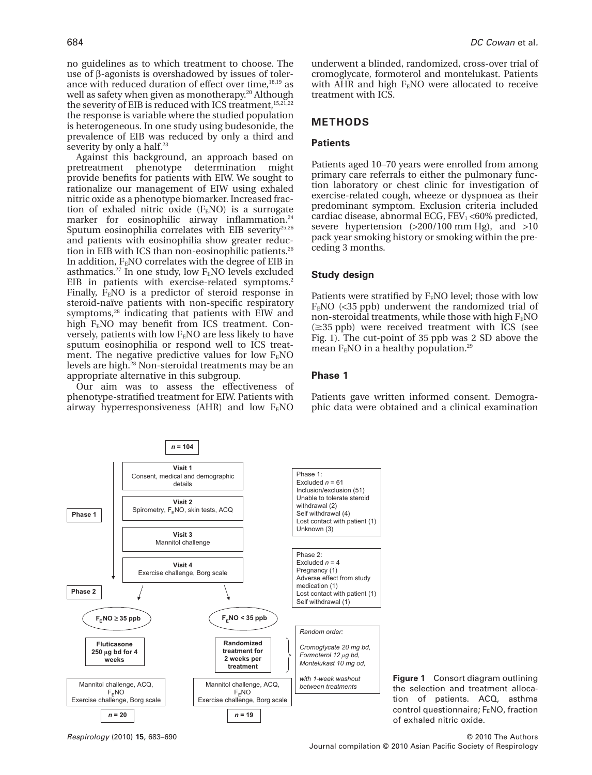no guidelines as to which treatment to choose. The use of  $\beta$ -agonists is overshadowed by issues of tolerance with reduced duration of effect over time, $18,19$  as well as safety when given as monotherapy.<sup>20</sup> Although the severity of EIB is reduced with ICS treatment, $15,21,22$ the response is variable where the studied population is heterogeneous. In one study using budesonide, the prevalence of EIB was reduced by only a third and severity by only a half.<sup>23</sup>

Against this background, an approach based on pretreatment phenotype determination might provide benefits for patients with EIW. We sought to rationalize our management of EIW using exhaled nitric oxide as a phenotype biomarker. Increased fraction of exhaled nitric oxide  $(F_FNO)$  is a surrogate marker for eosinophilic airway inflammation.<sup>24</sup> Sputum eosinophilia correlates with EIB severity<sup>25,26</sup> and patients with eosinophilia show greater reduction in EIB with ICS than non-eosinophilic patients.<sup>26</sup> In addition,  $F<sub>E</sub>NO$  correlates with the degree of EIB in asthmatics.<sup>27</sup> In one study, low  $F<sub>E</sub>NO$  levels excluded EIB in patients with exercise-related symptoms.<sup>2</sup> Finally,  $F<sub>E</sub>NO$  is a predictor of steroid response in steroid-naïve patients with non-specific respiratory symptoms,<sup>28</sup> indicating that patients with EIW and high F<sub>E</sub>NO may benefit from ICS treatment. Conversely, patients with low  $F<sub>E</sub>NO$  are less likely to have sputum eosinophilia or respond well to ICS treatment. The negative predictive values for low  $F<sub>E</sub>NO$ levels are high.28 Non-steroidal treatments may be an appropriate alternative in this subgroup.

Our aim was to assess the effectiveness of phenotype-stratified treatment for EIW. Patients with airway hyperresponsiveness (AHR) and low  $F<sub>E</sub>NO$ 

underwent a blinded, randomized, cross-over trial of cromoglycate, formoterol and montelukast. Patients with AHR and high  $F<sub>E</sub>NO$  were allocated to receive treatment with ICS.

## **METHODS**

### **Patients**

Patients aged 10–70 years were enrolled from among primary care referrals to either the pulmonary function laboratory or chest clinic for investigation of exercise-related cough, wheeze or dyspnoea as their predominant symptom. Exclusion criteria included cardiac disease, abnormal ECG,  $FEV_1 < 60\%$  predicted, severe hypertension  $(>200/100 \text{ mm Hg})$ , and  $>10$ pack year smoking history or smoking within the preceding 3 months.

## **Study design**

Patients were stratified by  $F_FNO$  level; those with low  $F<sub>E</sub>NO$  (<35 ppb) underwent the randomized trial of non-steroidal treatments, while those with high  $F<sub>E</sub>NO$  $(\geq 35$  ppb) were received treatment with ICS (see Fig. 1). The cut-point of 35 ppb was 2 SD above the mean  $F<sub>E</sub>NO$  in a healthy population.<sup>29</sup>

### **Phase 1**

Patients gave written informed consent. Demographic data were obtained and a clinical examination



**Figure 1** Consort diagram outlining the selection and treatment allocation of patients. ACQ, asthma control questionnaire;  $F<sub>E</sub>NO$ , fraction of exhaled nitric oxide.

*Respirology* (2010) **15**, 683–690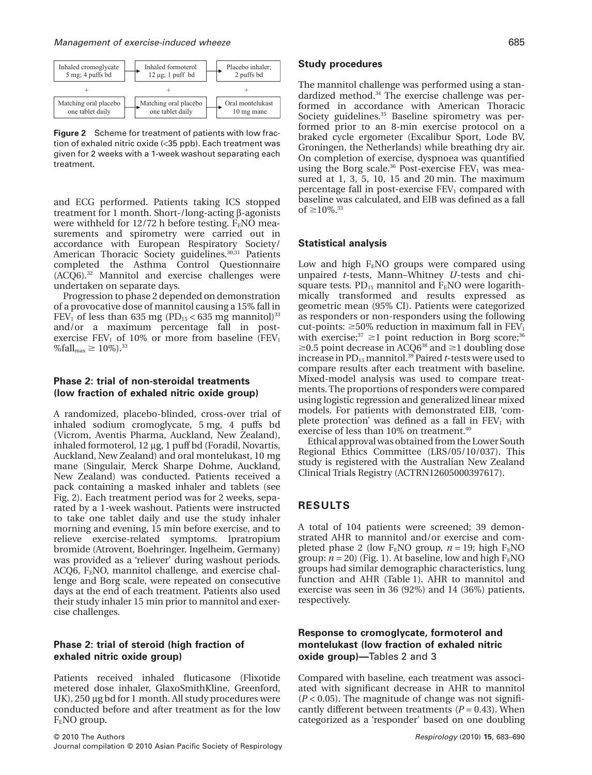

**Figure 2** Scheme for treatment of patients with low fraction of exhaled nitric oxide (<35 ppb). Each treatment was given for 2 weeks with a 1-week washout separating each treatment.

and ECG performed. Patients taking ICS stopped treatment for 1 month. Short-/long-acting  $\beta$ -agonists were withheld for 12/72 h before testing.  $F<sub>E</sub>NO$  measurements and spirometry were carried out in accordance with European Respiratory Society/ American Thoracic Society guidelines.<sup>30,51</sup> Patients completed the Asthma Control Questionnaire (ACQ6).32 Mannitol and exercise challenges were undertaken on separate days.

Progression to phase 2 depended on demonstration of a provocative dose of mannitol causing a 15% fall in  $FEV<sub>1</sub>$  of less than 635 mg (PD<sub>15</sub> < 635 mg mannitol)<sup>33</sup> and/or a maximum percentage fall in postexercise  $FEV_1$  of 10% or more from baseline  $(FEV_1)$ %fall<sub>max</sub>  $\geq 10\%$ ).<sup>33</sup>

## **Phase 2: trial of non-steroidal treatments (low fraction of exhaled nitric oxide group)**

A randomized, placebo-blinded, cross-over trial of inhaled sodium cromoglycate, 5 mg, 4 puffs bd (Vicrom, Aventis Pharma, Auckland, New Zealand), inhaled formoterol, 12 µg, 1 puff bd (Foradil, Novartis, Auckland, New Zealand) and oral montelukast, 10 mg mane (Singulair, Merck Sharpe Dohme, Auckland, New Zealand) was conducted. Patients received a pack containing a masked inhaler and tablets (see Fig. 2). Each treatment period was for 2 weeks, separated by a 1-week washout. Patients were instructed to take one tablet daily and use the study inhaler morning and evening, 15 min before exercise, and to relieve exercise-related symptoms. Ipratropium bromide (Atrovent, Boehringer, Ingelheim, Germany) was provided as a 'reliever' during washout periods.  $ACQ6$ ,  $F<sub>E</sub>NO$ , mannitol challenge, and exercise challenge and Borg scale, were repeated on consecutive days at the end of each treatment. Patients also used their study inhaler 15 min prior to mannitol and exercise challenges.

## **Phase 2: trial of steroid (high fraction of exhaled nitric oxide group)**

Patients received inhaled fluticasone (Flixotide metered dose inhaler, GlaxoSmithKline, Greenford, UK), 250 µg bd for 1 month. All study procedures were conducted before and after treatment as for the low  $F<sub>E</sub>NO$  group.

#### **Study procedures**

The mannitol challenge was performed using a standardized method.34 The exercise challenge was performed in accordance with American Thoracic Society guidelines.<sup>35</sup> Baseline spirometry was performed prior to an 8-min exercise protocol on a braked cycle ergometer (Excalibur Sport, Lode BV, Groningen, the Netherlands) while breathing dry air. On completion of exercise, dyspnoea was quantified using the Borg scale.<sup>36</sup> Post-exercise  $FEV<sub>1</sub>$  was measured at 1, 3, 5, 10, 15 and 20 min. The maximum percentage fall in post-exercise  $FEV<sub>1</sub>$  compared with baseline was calculated, and EIB was defined as a fall of  $\geq 10\%$ <sup>33</sup>

### **Statistical analysis**

Low and high  $F<sub>E</sub>NO$  groups were compared using unpaired *t*-tests, Mann–Whitney *U*-tests and chisquare tests.  $PD_{15}$  mannitol and  $F_ENO$  were logarithmically transformed and results expressed as geometric mean (95% CI). Patients were categorized as responders or non-responders using the following  $cut\text{-}points: \geq 50\%$  reduction in maximum fall in FEV<sub>1</sub> with exercise; $37 \geq 1$  point reduction in Borg score; $36$  $\geq$ 0.5 point decrease in ACQ6<sup>38</sup> and  $\geq$ 1 doubling dose increase in PD<sub>15</sub> mannitol.<sup>39</sup> Paired *t*-tests were used to compare results after each treatment with baseline. Mixed-model analysis was used to compare treatments. The proportions of responders were compared using logistic regression and generalized linear mixed models. For patients with demonstrated EIB, 'complete protection' was defined as a fall in  $FEV<sub>1</sub>$  with exercise of less than 10% on treatment.<sup>40</sup>

Ethical approval was obtained from the Lower South Regional Ethics Committee (LRS/05/10/037). This study is registered with the Australian New Zealand Clinical Trials Registry (ACTRN12605000397617).

# **RESULTS**

A total of 104 patients were screened; 39 demonstrated AHR to mannitol and/or exercise and completed phase 2 (low  $F_{E}NO$  group,  $n = 19$ ; high  $F_{E}NO$ group:  $n = 20$ ) (Fig. 1). At baseline, low and high  $F<sub>E</sub>NO$ groups had similar demographic characteristics, lung function and AHR (Table 1). AHR to mannitol and exercise was seen in 36 (92%) and 14 (36%) patients, respectively.

# **Response to cromoglycate, formoterol and montelukast (low fraction of exhaled nitric oxide group)—**Tables 2 and 3

Compared with baseline, each treatment was associated with significant decrease in AHR to mannitol  $(P<0.05)$ . The magnitude of change was not significantly different between treatments  $(P = 0.43)$ . When categorized as a 'responder' based on one doubling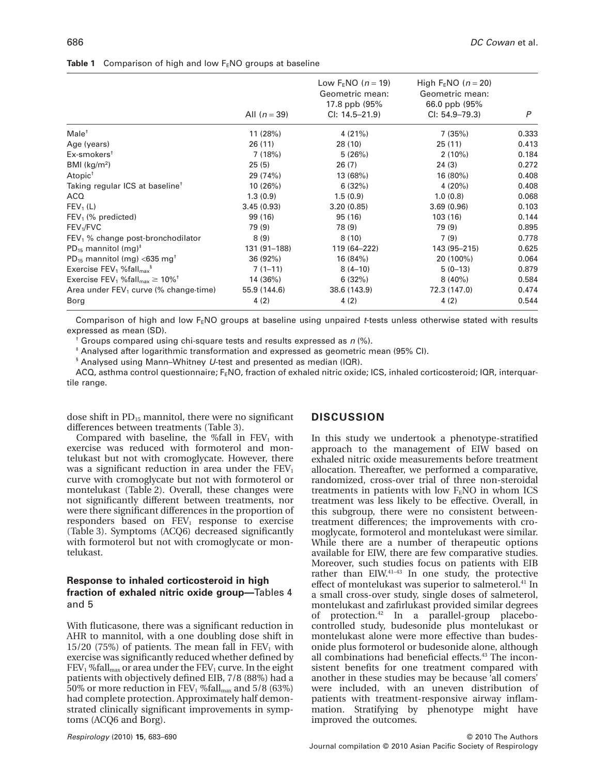|                                                                         |                | Low $F_FNO$ ( <i>n</i> = 19)<br>Geometric mean: | High $F_FNO$ ( $n = 20$ )<br>Geometric mean: |       |
|-------------------------------------------------------------------------|----------------|-------------------------------------------------|----------------------------------------------|-------|
|                                                                         |                | 17.8 ppb (95%)                                  | 66.0 ppb (95%)                               |       |
|                                                                         | All $(n = 39)$ | $Cl: 14.5 - 21.9$                               | CI: 54.9-79.3)                               | P     |
| Male <sup>†</sup>                                                       | 11 (28%)       | 4(21%)                                          | 7(35%)                                       | 0.333 |
| Age (years)                                                             | 26(11)         | 28 (10)                                         | 25(11)                                       | 0.413 |
| $Ex\text{-smokes}^{\dagger}$                                            | 7(18%)         | 5(26%)                                          | $2(10\%)$                                    | 0.184 |
| BMI ( $kg/m2$ )                                                         | 25(5)          | 26(7)                                           | 24(3)                                        | 0.272 |
| Atopic <sup>†</sup>                                                     | 29 (74%)       | 13 (68%)                                        | 16 (80%)                                     | 0.408 |
| Taking regular ICS at baseline <sup>t</sup>                             | 10(26%)        | 6(32%)                                          | 4(20%)                                       | 0.408 |
| ACQ                                                                     | 1.3(0.9)       | 1.5(0.9)                                        | 1.0(0.8)                                     | 0.068 |
| $FEV1$ (L)                                                              | 3.45(0.93)     | 3.20(0.85)                                      | 3.69(0.96)                                   | 0.103 |
| $FEV1$ (% predicted)                                                    | 99 (16)        | 95 (16)                                         | 103 (16)                                     | 0.144 |
| FEV <sub>1</sub> /FVC                                                   | 79 (9)         | 78 (9)                                          | 79 (9)                                       | 0.895 |
| $FEV1$ % change post-bronchodilator                                     | 8(9)           | 8(10)                                           | 7(9)                                         | 0.778 |
| $PD_{15}$ mannitol (mg) <sup><math>\dagger</math></sup>                 | 131 (91-188)   | 119 (64-222)                                    | 143 (95-215)                                 | 0.625 |
| PD <sub>15</sub> mannitol (mg) <635 mg <sup>+</sup>                     | 36 (92%)       | 16 (84%)                                        | 20 (100%)                                    | 0.064 |
| Exercise $FEV_1$ %fall <sub>max</sub> <sup>§</sup>                      | $7(1-11)$      | $8(4-10)$                                       | $5(0-13)$                                    | 0.879 |
| Exercise FEV <sub>1</sub> %fall <sub>max</sub> $\geq 10\%$ <sup>†</sup> | 14 (36%)       | 6(32%)                                          | $8(40\%)$                                    | 0.584 |
| Area under $FEV_1$ curve (% change time)                                | 55.9 (144.6)   | 38.6 (143.9)                                    | 72.3 (147.0)                                 | 0.474 |
| Borg                                                                    | 4(2)           | 4(2)                                            | 4(2)                                         | 0.544 |

## **Table 1** Comparison of high and low F<sub>E</sub>NO groups at baseline

Comparison of high and low FENO groups at baseline using unpaired *t*-tests unless otherwise stated with results expressed as mean (SD).

† Groups compared using chi-square tests and results expressed as *n* (%).

‡ Analysed after logarithmic transformation and expressed as geometric mean (95% CI).

§ Analysed using Mann–Whitney *U*-test and presented as median (IQR).

ACQ, asthma control questionnaire; F<sub>E</sub>NO, fraction of exhaled nitric oxide; ICS, inhaled corticosteroid; IQR, interquartile range.

dose shift in  $PD_{15}$  mannitol, there were no significant differences between treatments (Table 3).

Compared with baseline, the %fall in  $FEV<sub>1</sub>$  with exercise was reduced with formoterol and montelukast but not with cromoglycate. However, there was a significant reduction in area under the  $FEV<sub>1</sub>$ curve with cromoglycate but not with formoterol or montelukast (Table 2). Overall, these changes were not significantly different between treatments, nor were there significant differences in the proportion of responders based on  $FEV<sub>1</sub>$  response to exercise (Table 3). Symptoms (ACQ6) decreased significantly with formoterol but not with cromoglycate or montelukast.

## **Response to inhaled corticosteroid in high fraction of exhaled nitric oxide group—**Tables 4 and 5

With fluticasone, there was a significant reduction in AHR to mannitol, with a one doubling dose shift in 15/20 (75%) of patients. The mean fall in  $FEV<sub>1</sub>$  with exercise was significantly reduced whether defined by  $FEV<sub>1</sub> %fall<sub>max</sub> or area under the FEV<sub>1</sub> curve. In the eight$ patients with objectively defined EIB, 7/8 (88%) had a 50% or more reduction in  $FEV_1$ %fall<sub>max</sub> and 5/8 (63%) had complete protection. Approximately half demonstrated clinically significant improvements in symptoms (ACQ6 and Borg).

# **DISCUSSION**

In this study we undertook a phenotype-stratified approach to the management of EIW based on exhaled nitric oxide measurements before treatment allocation. Thereafter, we performed a comparative, randomized, cross-over trial of three non-steroidal treatments in patients with low  $F<sub>E</sub>NO$  in whom ICS treatment was less likely to be effective. Overall, in this subgroup, there were no consistent betweentreatment differences; the improvements with cromoglycate, formoterol and montelukast were similar. While there are a number of therapeutic options available for EIW, there are few comparative studies. Moreover, such studies focus on patients with EIB rather than  $EIW^{41-43}$  In one study, the protective effect of montelukast was superior to salmeterol.<sup>41</sup> In a small cross-over study, single doses of salmeterol, montelukast and zafirlukast provided similar degrees of protection.42 In a parallel-group placebocontrolled study, budesonide plus montelukast or montelukast alone were more effective than budesonide plus formoterol or budesonide alone, although all combinations had beneficial effects.<sup>43</sup> The inconsistent benefits for one treatment compared with another in these studies may be because 'all comers' were included, with an uneven distribution of patients with treatment-responsive airway inflammation. Stratifying by phenotype might have improved the outcomes.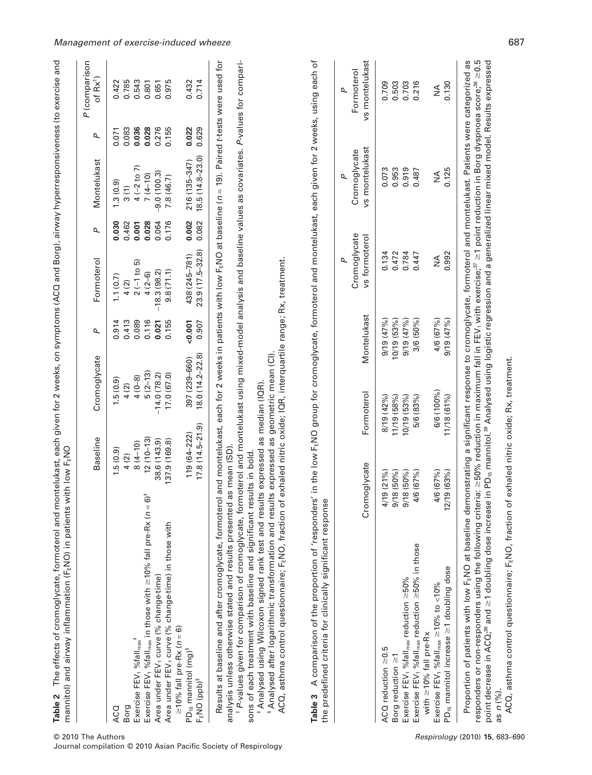| Table 2 The effects of cromoglycate, formoterol and montelukast, each given for 2 weeks, on symptoms (ACQ and Borg), airway hyperresponsiveness (to exercise and<br>mannitol) and airway inflammation (F <sub>E</sub> NO) in patients with low F <sub>E</sub> NO                                                                                                                                                                                                                                                                                                                                                                                                                                                                                                                                                                                                                                                                                                                                                      |              |                     |                                                                   |             |                               |       |                                |       |                                    |
|-----------------------------------------------------------------------------------------------------------------------------------------------------------------------------------------------------------------------------------------------------------------------------------------------------------------------------------------------------------------------------------------------------------------------------------------------------------------------------------------------------------------------------------------------------------------------------------------------------------------------------------------------------------------------------------------------------------------------------------------------------------------------------------------------------------------------------------------------------------------------------------------------------------------------------------------------------------------------------------------------------------------------|--------------|---------------------|-------------------------------------------------------------------|-------------|-------------------------------|-------|--------------------------------|-------|------------------------------------|
|                                                                                                                                                                                                                                                                                                                                                                                                                                                                                                                                                                                                                                                                                                                                                                                                                                                                                                                                                                                                                       |              | Baseline            | Cromoglycate                                                      | Ъ           | Formoterol                    | σ     | Montelukast                    | σ     | P (comparison<br>of $Rx^{\dagger}$ |
| <b>ACQ</b>                                                                                                                                                                                                                                                                                                                                                                                                                                                                                                                                                                                                                                                                                                                                                                                                                                                                                                                                                                                                            |              | 1.5(0.9)            | 1.5(0.9)                                                          | 0.914       | 1.1(0.7)                      | 0.030 | 1.3(0.9)                       | 0.071 | 0.422                              |
| Borg                                                                                                                                                                                                                                                                                                                                                                                                                                                                                                                                                                                                                                                                                                                                                                                                                                                                                                                                                                                                                  |              | 4(2)                | 4(2)                                                              | 0.413       | 4(2)                          | 0.462 | $\frac{1}{3}$ (1)              | 0.083 | 0.785                              |
| Exercise FEV <sub>1</sub> %fall <sub>max</sub> <sup>#</sup>                                                                                                                                                                                                                                                                                                                                                                                                                                                                                                                                                                                                                                                                                                                                                                                                                                                                                                                                                           |              | $8(4-10)$           | $4(0-8)$                                                          | 0.089       | $2(-1)$ to 5)                 | 0.001 | $4(-2$ to 7)                   | 0.036 | 0.543                              |
| Exercise FEV <sub>1</sub> %fall <sub>max</sub> in those with $\geq$ 10% fall pre-Rx ( $n = 6$ ) <sup>#</sup>                                                                                                                                                                                                                                                                                                                                                                                                                                                                                                                                                                                                                                                                                                                                                                                                                                                                                                          |              | $12(10-13)$         | $5(2-13)$                                                         | 0.116       | $4(2-6)$                      | 0.028 | $7(4-10)$                      | 0.028 | 0.801                              |
| Area under FEV <sub>1</sub> curve (% change-time)                                                                                                                                                                                                                                                                                                                                                                                                                                                                                                                                                                                                                                                                                                                                                                                                                                                                                                                                                                     |              | 38.6 (143.9)        | $-14.0(78.2)$                                                     | 0.021       | $-18.3(98.2)$                 | 0.064 | $-9.0(100.3)$                  | 0.276 | 0.651                              |
| Area under FEV <sub>1</sub> curve (% change-time) in those with<br>$\geq$ 10% fall pre-Rx ( $n = 6$ )                                                                                                                                                                                                                                                                                                                                                                                                                                                                                                                                                                                                                                                                                                                                                                                                                                                                                                                 |              | 137.9 (169.8)       | 17.0 (67.0)                                                       | 0.155       | 9.8(71.1)                     | 0.176 | 7.8(46.7)                      | 0.155 | 0.975                              |
| PD <sub>15</sub> mannitol (mg) <sup>\$</sup>                                                                                                                                                                                                                                                                                                                                                                                                                                                                                                                                                                                                                                                                                                                                                                                                                                                                                                                                                                          |              | 119 (64–222)        | 397 (239-660)                                                     | 0.001       | 438 (245-781)                 | 0.002 | 216 (135-347)                  | 0.022 | 0.432                              |
| F <sub>E</sub> NO (ppb) <sup>§</sup>                                                                                                                                                                                                                                                                                                                                                                                                                                                                                                                                                                                                                                                                                                                                                                                                                                                                                                                                                                                  |              | $17.8(14.5 - 21.9)$ | $18.0(14.2 - 22.8)$                                               | 0.907       | $23.9(17.5 - 32.8)$           | 0.082 | $18.5(14.8-23.0)$              | 0.629 | 0.714                              |
| Results at baseline and after cromoglycate, formoterol and montelukast, each for 2 weeks in patients with low F <sub>E</sub> NO at baseline (n = 19). Paired t-tests were used for<br>* P-values given for comparison of cromoglycate, formoterol and montelukast using mixed-model analysis and baseline values as covariates. P-values for compari-<br>A comparison of the proportion of 'responders' in the low F <sub>E</sub> NO group for cromoglycate, formoterol and montelukast, each given for 2 weeks, using each of<br><sup>5</sup> Analysed after logarithmic transformation and results expressed as geometric mean (Cl)<br>* Analysed using Wilcoxon signed rank test and results expressed as median (IQR)<br>analysis unless otherwise stated and results presented as mean (SD).<br>sons of each treatment with baseline and significant results in bold<br>the predefined criteria for clinically significant response<br>ACQ, asthma control questionnaire; F <sub>E</sub> NO, fraction<br>Table 3 |              |                     | of exhaled nitric oxide; IQR, interquartile range; Rx, treatment. |             |                               |       |                                |       |                                    |
|                                                                                                                                                                                                                                                                                                                                                                                                                                                                                                                                                                                                                                                                                                                                                                                                                                                                                                                                                                                                                       |              |                     |                                                                   |             | Ъ                             |       | Р                              |       | Ъ                                  |
|                                                                                                                                                                                                                                                                                                                                                                                                                                                                                                                                                                                                                                                                                                                                                                                                                                                                                                                                                                                                                       | Cromoglycate |                     | Formoterol                                                        | Montelukast | Cromoglycate<br>vs formoterol |       | vs montelukast<br>Cromoglycate |       | vs montelukast<br>Formoterol       |
| ACQ reduction $\geq 0.5$                                                                                                                                                                                                                                                                                                                                                                                                                                                                                                                                                                                                                                                                                                                                                                                                                                                                                                                                                                                              | 4/19(21%)    |                     | 8/19 (42%)                                                        | 9/19(47%)   | 0.134                         |       | 0.073                          |       | 0.709                              |
| Borg reduction $\geq 1$                                                                                                                                                                                                                                                                                                                                                                                                                                                                                                                                                                                                                                                                                                                                                                                                                                                                                                                                                                                               | 9/18(50%)    |                     | 11/19 (58%)                                                       | 10/19 (53%) | 0.472                         |       | 0.953                          |       | 0.503                              |
| Exercise FEV <sub>1</sub> %fall <sub>max</sub> reduction $\geq$ 50%                                                                                                                                                                                                                                                                                                                                                                                                                                                                                                                                                                                                                                                                                                                                                                                                                                                                                                                                                   | 9/18(50%)    |                     | $10/19$ (53%)                                                     | 9/19(47%)   | 0.784                         |       | 0.919                          |       | 0.703                              |
| Exercise FEV <sub>1</sub> %fall <sub>max</sub> reduction ≥50% in those                                                                                                                                                                                                                                                                                                                                                                                                                                                                                                                                                                                                                                                                                                                                                                                                                                                                                                                                                | 4/6 (67%)    |                     | 5/6 (83%)                                                         | 3/6 (50%)   | 0.447                         |       | 0.487                          |       | 0.216                              |

responders or non-responders using the following criteria: 50% reduction in maximum fall in FEV<sub>1</sub> with exercise; $^{37}$ 1 point reduction in Borg dyspnoea score;<sup>36</sup> point decrease in  $ACQ;^{38}$  and point decrease in ACQ.<sup>38</sup> and ≥1 doubling dose increase in PD<sub>15</sub> mannitol.<sup>39</sup> Analysed using logistic regression and a generalized linear mixed model. Results expressed 1 doubling dose increase in PD<sub>15</sub> mannitol.<sup>39</sup> Analysed using logistic regression and a generalized linear mixed model. Results expressed as *n* (%).

۸

ACQ, asthma control questionnaire; F<sub>E</sub>NO, fraction of exhaled nitric oxide; Rx, treatment. ACQ, asthma control questionnaire; F $_5$ NO, fraction of exhaled nitric oxide; Rx, treatment.

© 2010 The Authors

Journal compilation © 2010 Asian Pacific Society of Respirology

with ۸

10% fall pre-Rx

Exercise FEV<sub>1</sub> %fall<sub>max</sub>

PD<sub>15</sub> mannitol increase

PD<sub>15</sub> mannitol increase  $\geq$ 1 doubling dose

Exercise FEV, %fall<sub>max</sub>  $\geq$  10% to  $<$  10%

10% to 10% to 100% and 100% and 100% 4/6 (67%) 4/6 (67%) 4/6 (67%) 4/6 (67%) 4/6 (67%) 4/6 (67%) 4/6 (67%) 4/6

6/6 (100%) 11/18 (61%)

4/6 (67%)<br>12/19 (63%)

4/6 (67%)<br>9/19 (47%)

1 doubling dose 12.09 dose 12/19 (619 (619 0.125 0.127 0.125 0.125 0.125 0.130 0.130 0.130 0.125 0.125 0.130

Proportion of patients with low F<sub>E</sub>NO at baseline demonstrating a significant response to cromoglycate, formoterol and montelukast. Patients were categorized as

۸

5.<br>∩<

NA<br>0.130

NA<br>0.125

NA<br>0.992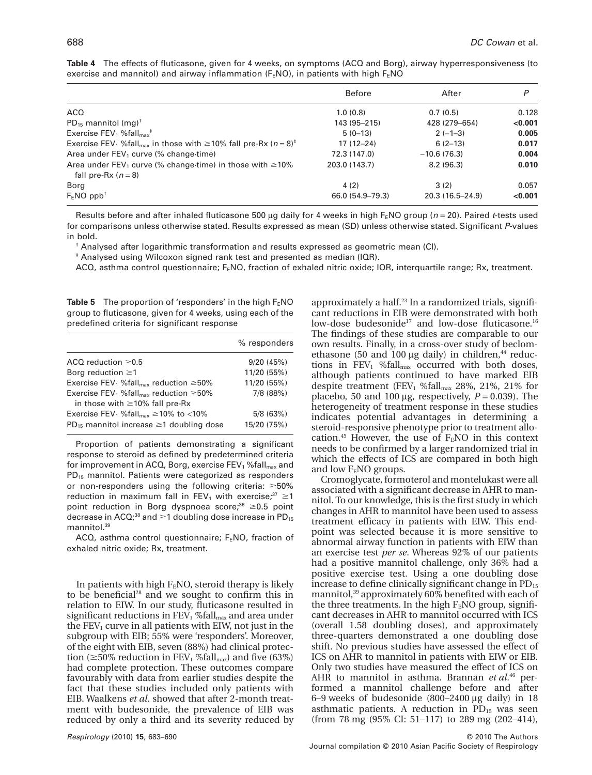| Table 4 The effects of fluticasone, given for 4 weeks, on symptoms (ACQ and Borg), airway hyperresponsiveness (to |  |  |  |
|-------------------------------------------------------------------------------------------------------------------|--|--|--|
| exercise and mannitol) and airway inflammation ( $FENO$ ), in patients with high $FENO$                           |  |  |  |

|                                                                                                           | <b>Before</b>    | After            | P       |
|-----------------------------------------------------------------------------------------------------------|------------------|------------------|---------|
| ACQ                                                                                                       | 1.0(0.8)         | 0.7(0.5)         | 0.128   |
| $PD_{15}$ mannitol (mg) <sup>†</sup>                                                                      | 143 (95-215)     | 428 (279-654)    | < 0.001 |
| Exercise $FEV_1$ %fall <sub>max</sub> <sup>‡</sup>                                                        | $5(0-13)$        | $2(-1-3)$        | 0.005   |
| Exercise FEV <sub>1</sub> % fall <sub>max</sub> in those with $\geq$ 10% fall pre-Rx (n = 8) <sup>‡</sup> | $17(12 - 24)$    | $6(2-13)$        | 0.017   |
| Area under $FEV_1$ curve (% change time)                                                                  | 72.3 (147.0)     | $-10.6(76.3)$    | 0.004   |
| Area under FEV <sub>1</sub> curve (% change time) in those with $\geq 10\%$<br>fall pre-Rx $(n=8)$        | 203.0 (143.7)    | 8.2(96.3)        | 0.010   |
| Borg                                                                                                      | 4(2)             | 3(2)             | 0.057   |
| $F_FNO$ ppb <sup>+</sup>                                                                                  | 66.0 (54.9–79.3) | 20.3 (16.5-24.9) | < 0.001 |

Results before and after inhaled fluticasone 500 µg daily for 4 weeks in high  $F<sub>E</sub>NO$  group ( $n = 20$ ). Paired *t*-tests used for comparisons unless otherwise stated. Results expressed as mean (SD) unless otherwise stated. Significant *P*-values in bold.

† Analysed after logarithmic transformation and results expressed as geometric mean (CI).

‡ Analysed using Wilcoxon signed rank test and presented as median (IQR).

ACQ, asthma control questionnaire;  $F_FNO$ , fraction of exhaled nitric oxide; IQR, interquartile range; Rx, treatment.

**Table 5** The proportion of 'responders' in the high  $F_FNO$ group to fluticasone, given for 4 weeks, using each of the predefined criteria for significant response

|                                                                      | % responders |
|----------------------------------------------------------------------|--------------|
| ACO reduction $\geq 0.5$                                             | 9/20(45%)    |
| Borg reduction $\geq 1$                                              | 11/20 (55%)  |
| Exercise FEV <sub>1</sub> %fall <sub>max</sub> reduction $\geq 50\%$ | 11/20 (55%)  |
| Exercise FEV <sub>1</sub> %fall <sub>max</sub> reduction $\geq 50\%$ | 7/8 (88%)    |
| in those with $\geq$ 10% fall pre-Rx                                 |              |
| Exercise FEV <sub>1</sub> %fall <sub>max</sub> $\geq$ 10% to <10%    | 5/8(63%)     |
| PD <sub>15</sub> mannitol increase $\geq$ 1 doubling dose            | 15/20 (75%)  |
|                                                                      |              |

Proportion of patients demonstrating a significant response to steroid as defined by predetermined criteria for improvement in ACQ, Borg, exercise  $FEV<sub>1</sub>$ %fall<sub>max</sub> and PD<sub>15</sub> mannitol. Patients were categorized as responders or non-responders using the following criteria:  $\geq 50\%$ reduction in maximum fall in FEV<sub>1</sub> with exercise;<sup>37</sup>  $\geq$ 1 point reduction in Borg dyspnoea score;<sup>36</sup> ≥0.5 point decrease in ACQ; $^{38}$  and  $\geq$ 1 doubling dose increase in PD $_{15}$ mannitol.<sup>39</sup>

ACQ, asthma control questionnaire;  $F<sub>E</sub>NO$ , fraction of exhaled nitric oxide; Rx, treatment.

In patients with high  $F<sub>E</sub>NO$ , steroid therapy is likely to be beneficial28 and we sought to confirm this in relation to EIW. In our study, fluticasone resulted in significant reductions in  $FEV_1$ %fall<sub>max</sub> and area under the  $FEV<sub>1</sub>$  curve in all patients with EIW, not just in the subgroup with EIB; 55% were 'responders'. Moreover, of the eight with EIB, seven (88%) had clinical protection ( $\geq$ 50% reduction in FEV<sub>1</sub> %fall<sub>max</sub>) and five (63%) had complete protection. These outcomes compare favourably with data from earlier studies despite the fact that these studies included only patients with EIB. Waalkens *et al*. showed that after 2-month treatment with budesonide, the prevalence of EIB was reduced by only a third and its severity reduced by

approximately a half.23 In a randomized trials, significant reductions in EIB were demonstrated with both low-dose budesonide<sup>17</sup> and low-dose fluticasone.<sup>16</sup> The findings of these studies are comparable to our own results. Finally, in a cross-over study of beclomethasone (50 and 100  $\mu$ g daily) in children,<sup>44</sup> reductions in  $FEV_1$  %fall<sub>max</sub> occurred with both doses, although patients continued to have marked EIB despite treatment (FEV<sub>1</sub> %fall<sub>max</sub> 28%, 21%, 21% for placebo, 50 and 100  $\mu$ g, respectively,  $P = 0.039$ . The heterogeneity of treatment response in these studies indicates potential advantages in determining a steroid-responsive phenotype prior to treatment allocation.<sup>45</sup> However, the use of  $F<sub>E</sub>NO$  in this context needs to be confirmed by a larger randomized trial in which the effects of ICS are compared in both high and low  $F<sub>E</sub>NO$  groups.

Cromoglycate, formoterol and montelukast were all associated with a significant decrease in AHR to mannitol. To our knowledge, this is the first study in which changes in AHR to mannitol have been used to assess treatment efficacy in patients with EIW. This endpoint was selected because it is more sensitive to abnormal airway function in patients with EIW than an exercise test *per se*. Whereas 92% of our patients had a positive mannitol challenge, only 36% had a positive exercise test. Using a one doubling dose increase to define clinically significant change in  $PD_{15}$ mannitol,<sup>39</sup> approximately 60% benefited with each of the three treatments. In the high  $F<sub>E</sub>NO$  group, significant decreases in AHR to mannitol occurred with ICS (overall 1.58 doubling doses), and approximately three-quarters demonstrated a one doubling dose shift. No previous studies have assessed the effect of ICS on AHR to mannitol in patients with EIW or EIB. Only two studies have measured the effect of ICS on AHR to mannitol in asthma. Brannan *et al*. <sup>46</sup> performed a mannitol challenge before and after 6–9 weeks of budesonide  $(800-2400 \mu g \text{ daily})$  in 18 asthmatic patients. A reduction in  $PD_{15}$  was seen (from 78 mg (95% CI: 51–117) to 289 mg (202–414),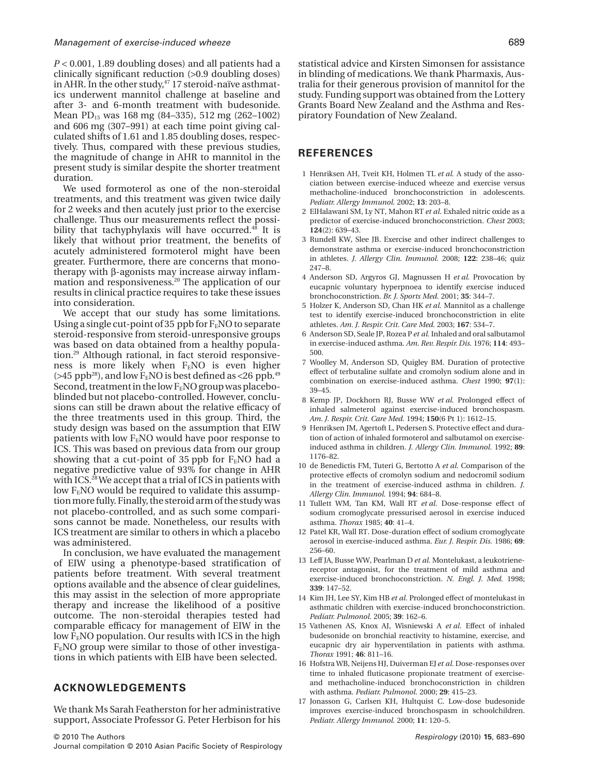*P* < 0.001, 1.89 doubling doses) and all patients had a clinically significant reduction (>0.9 doubling doses) in AHR. In the other study, $47$  17 steroid-naïve asthmatics underwent mannitol challenge at baseline and after 3- and 6-month treatment with budesonide. Mean PD15 was 168 mg (84–335), 512 mg (262–1002) and 606 mg (307–991) at each time point giving calculated shifts of 1.61 and 1.85 doubling doses, respectively. Thus, compared with these previous studies, the magnitude of change in AHR to mannitol in the present study is similar despite the shorter treatment duration.

We used formoterol as one of the non-steroidal treatments, and this treatment was given twice daily for 2 weeks and then acutely just prior to the exercise challenge. Thus our measurements reflect the possibility that tachyphylaxis will have occurred.<sup>48</sup> It is likely that without prior treatment, the benefits of acutely administered formoterol might have been greater. Furthermore, there are concerns that monotherapy with  $\beta$ -agonists may increase airway inflammation and responsiveness.20 The application of our results in clinical practice requires to take these issues into consideration.

We accept that our study has some limitations. Using a single cut-point of 35 ppb for  $F_ENO$  to separate steroid-responsive from steroid-unresponsive groups was based on data obtained from a healthy population.29 Although rational, in fact steroid responsiveness is more likely when  $F<sub>E</sub>NO$  is even higher (>45 ppb<sup>28</sup>), and low  $F<sub>E</sub>NO$  is best defined as <26 ppb.<sup>49</sup> Second, treatment in the low  $F_{E}NO$  group was placeboblinded but not placebo-controlled. However, conclusions can still be drawn about the relative efficacy of the three treatments used in this group. Third, the study design was based on the assumption that EIW patients with low  $F<sub>E</sub>NO$  would have poor response to ICS. This was based on previous data from our group showing that a cut-point of 35 ppb for  $F<sub>E</sub>NO$  had a negative predictive value of 93% for change in AHR with ICS.<sup>28</sup> We accept that a trial of ICS in patients with low  $F<sub>E</sub>NO$  would be required to validate this assumptionmore fully. Finally, the steroid arm of the study was not placebo-controlled, and as such some comparisons cannot be made. Nonetheless, our results with ICS treatment are similar to others in which a placebo was administered.

In conclusion, we have evaluated the management of EIW using a phenotype-based stratification of patients before treatment. With several treatment options available and the absence of clear guidelines, this may assist in the selection of more appropriate therapy and increase the likelihood of a positive outcome. The non-steroidal therapies tested had comparable efficacy for management of EIW in the low  $F<sub>E</sub>NO$  population. Our results with ICS in the high  $F<sub>E</sub>NO$  group were similar to those of other investigations in which patients with EIB have been selected.

# **ACKNOWLEDGEMENTS**

We thank Ms Sarah Featherston for her administrative support, Associate Professor G. Peter Herbison for his statistical advice and Kirsten Simonsen for assistance in blinding of medications. We thank Pharmaxis, Australia for their generous provision of mannitol for the study. Funding support was obtained from the Lottery Grants Board New Zealand and the Asthma and Respiratory Foundation of New Zealand.

## **REFERENCES**

- 1 Henriksen AH, Tveit KH, Holmen TL *et al.* A study of the association between exercise-induced wheeze and exercise versus methacholine-induced bronchoconstriction in adolescents. *Pediatr. Allergy Immunol.* 2002; **13**: 203–8.
- 2 ElHalawani SM, Ly NT, Mahon RT *et al.* Exhaled nitric oxide as a predictor of exercise-induced bronchoconstriction. *Chest* 2003; **124**(2): 639–43.
- 3 Rundell KW, Slee JB. Exercise and other indirect challenges to demonstrate asthma or exercise-induced bronchoconstriction in athletes. *J. Allergy Clin. Immunol.* 2008; **122**: 238–46; quiz 247–8.
- 4 Anderson SD, Argyros GJ, Magnussen H *et al.* Provocation by eucapnic voluntary hyperpnoea to identify exercise induced bronchoconstriction. *Br. J. Sports Med.* 2001; **35**: 344–7.
- 5 Holzer K, Anderson SD, Chan HK *et al.* Mannitol as a challenge test to identify exercise-induced bronchoconstriction in elite athletes. *Am. J. Respir. Crit. Care Med.* 2003; **167**: 534–7.
- 6 Anderson SD, Seale JP, Rozea P *et al.* Inhaled and oral salbutamol in exercise-induced asthma. *Am. Rev. Respir. Dis.* 1976; **114**: 493– 500.
- 7 Woolley M, Anderson SD, Quigley BM. Duration of protective effect of terbutaline sulfate and cromolyn sodium alone and in combination on exercise-induced asthma. *Chest* 1990; **97**(1): 39–45.
- 8 Kemp JP, Dockhorn RJ, Busse WW *et al.* Prolonged effect of inhaled salmeterol against exercise-induced bronchospasm. *Am. J. Respir. Crit. Care Med.* 1994; **150**(6 Pt 1): 1612–15.
- 9 Henriksen JM, Agertoft L, Pedersen S. Protective effect and duration of action of inhaled formoterol and salbutamol on exerciseinduced asthma in children. *J. Allergy Clin. Immunol.* 1992; **89**: 1176–82.
- 10 de Benedictis FM, Tuteri G, Bertotto A *et al.* Comparison of the protective effects of cromolyn sodium and nedocromil sodium in the treatment of exercise-induced asthma in children. *J. Allergy Clin. Immunol.* 1994; **94**: 684–8.
- 11 Tullett WM, Tan KM, Wall RT *et al.* Dose-response effect of sodium cromoglycate pressurised aerosol in exercise induced asthma. *Thorax* 1985; **40**: 41–4.
- 12 Patel KR, Wall RT. Dose-duration effect of sodium cromoglycate aerosol in exercise-induced asthma. *Eur. J. Respir. Dis.* 1986; **69**: 256–60.
- 13 Leff JA, Busse WW, Pearlman D *et al.* Montelukast, a leukotrienereceptor antagonist, for the treatment of mild asthma and exercise-induced bronchoconstriction. *N. Engl. J. Med.* 1998; **339**: 147–52.
- 14 Kim JH, Lee SY, Kim HB *et al.* Prolonged effect of montelukast in asthmatic children with exercise-induced bronchoconstriction. *Pediatr. Pulmonol.* 2005; **39**: 162–6.
- 15 Vathenen AS, Knox AJ, Wisniewski A *et al.* Effect of inhaled budesonide on bronchial reactivity to histamine, exercise, and eucapnic dry air hyperventilation in patients with asthma. *Thorax* 1991; **46**: 811–16.
- 16 Hofstra WB, Neijens HJ, Duiverman EJ *et al.* Dose-responses over time to inhaled fluticasone propionate treatment of exerciseand methacholine-induced bronchoconstriction in children with asthma. *Pediatr. Pulmonol.* 2000; **29**: 415–23.
- 17 Jonasson G, Carlsen KH, Hultquist C. Low-dose budesonide improves exercise-induced bronchospasm in schoolchildren. *Pediatr. Allergy Immunol.* 2000; **11**: 120–5.